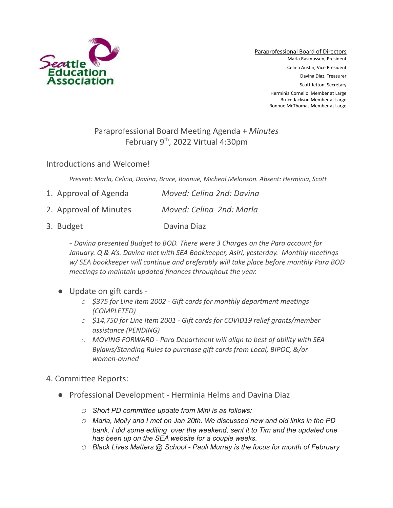

Paraprofessional Board of Directors Marla Rasmussen, President Celina Austin, Vice President Davina Diaz, Treasurer Scott Jetton, Secretary Herminia Cornelio Member at Large Bruce Jackson Member at Large Ronnue McThomas Member at Large

## Paraprofessional Board Meeting Agenda + *Minutes* February 9<sup>th</sup>, 2022 Virtual 4:30pm

Introductions and Welcome!

*Present: Marla, Celina, Davina, Bruce, Ronnue, Micheal Melonson. Absent: Herminia, Scott*

| 1. Approval of Agenda  | Moved: Celina 2nd: Davina |
|------------------------|---------------------------|
| 2. Approval of Minutes | Moved: Celina 2nd: Marla  |

3. Budget Davina Diaz

*- Davina presented Budget to BOD. There were 3 Charges on the Para account for January. Q & A's. Davina met with SEA Bookkeeper, Asiri, yesterday. Monthly meetings w/ SEA bookkeeper will continue and preferably will take place before monthly Para BOD meetings to maintain updated finances throughout the year.*

- Update on gift cards
	- *o \$375 for Line item 2002 Gift cards for monthly department meetings (COMPLETED)*
	- *o \$14,750 for Line Item 2001 Gift cards for COVID19 relief grants/member assistance (PENDING)*
	- *o MOVING FORWARD Para Department will align to best of ability with SEA Bylaws/Standing Rules to purchase gift cards from Local, BIPOC, &/or women-owned*
- 4. Committee Reports:
	- Professional Development Herminia Helms and Davina Diaz
		- *o Short PD committee update from Mini is as follows:*
		- *o Marla, Molly and I met on Jan 20th. We discussed new and old links in the PD bank. I did some editing over the weekend, sent it to Tim and the updated one has been up on the SEA website for a couple weeks.*
		- *o Black Lives Matters @ School - Pauli Murray is the focus for month of February*